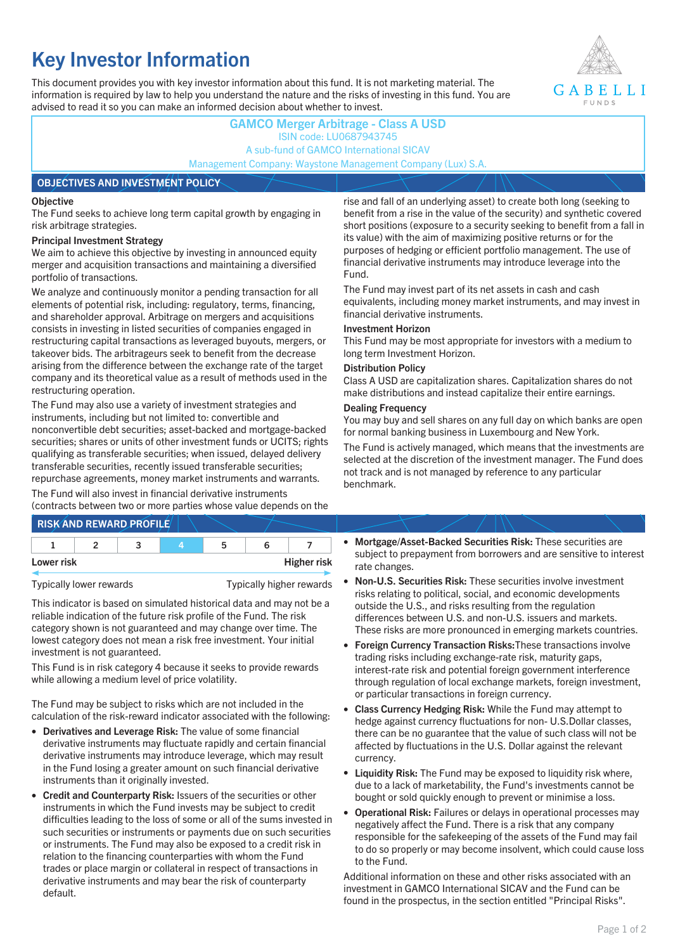# **Key Investor Information**

This document provides you with key investor information about this fund. It is not marketing material. The information is required by law to help you understand the nature and the risks of investing in this fund. You are advised to read it so you can make an informed decision about whether to invest.



## **GAMCO Merger Arbitrage - Class A USD** ISIN code: LU0687943745 A sub-fund of GAMCO International SICAV Management Company: Waystone Management Company (Lux) S.A.

### **OBJECTIVES AND INVESTMENT POLICY**

### **Objective**

The Fund seeks to achieve long term capital growth by engaging in risk arbitrage strategies.

### **Principal Investment Strategy**

We aim to achieve this objective by investing in announced equity merger and acquisition transactions and maintaining a diversified portfolio of transactions.

We analyze and continuously monitor a pending transaction for all elements of potential risk, including: regulatory, terms, financing, and shareholder approval. Arbitrage on mergers and acquisitions consists in investing in listed securities of companies engaged in restructuring capital transactions as leveraged buyouts, mergers, or takeover bids. The arbitrageurs seek to benefit from the decrease arising from the difference between the exchange rate of the target company and its theoretical value as a result of methods used in the restructuring operation.

The Fund may also use a variety of investment strategies and instruments, including but not limited to: convertible and nonconvertible debt securities; asset-backed and mortgage-backed securities; shares or units of other investment funds or UCITS; rights qualifying as transferable securities; when issued, delayed delivery transferable securities, recently issued transferable securities; repurchase agreements, money market instruments and warrants.

The Fund will also invest in financial derivative instruments (contracts between two or more parties whose value depends on the

|            | <b>RISK AND REWARD PROFILE</b> |    |                    |
|------------|--------------------------------|----|--------------------|
|            |                                | 'n |                    |
| Lower risk |                                |    | <b>Higher risk</b> |

Typically lower rewards Typically higher rewards

This indicator is based on simulated historical data and may not be a reliable indication of the future risk profile of the Fund. The risk category shown is not guaranteed and may change over time. The lowest category does not mean a risk free investment. Your initial investment is not guaranteed.

This Fund is in risk category 4 because it seeks to provide rewards while allowing a medium level of price volatility.

The Fund may be subject to risks which are not included in the calculation of the risk-reward indicator associated with the following:

- **Derivatives and Leverage Risk:** The value of some financial derivative instruments may fluctuate rapidly and certain financial derivative instruments may introduce leverage, which may result in the Fund losing a greater amount on such financial derivative instruments than it originally invested.
- **Credit and Counterparty Risk:** Issuers of the securities or other instruments in which the Fund invests may be subject to credit difficulties leading to the loss of some or all of the sums invested in such securities or instruments or payments due on such securities or instruments. The Fund may also be exposed to a credit risk in relation to the financing counterparties with whom the Fund trades or place margin or collateral in respect of transactions in derivative instruments and may bear the risk of counterparty default.

rise and fall of an underlying asset) to create both long (seeking to benefit from a rise in the value of the security) and synthetic covered short positions (exposure to a security seeking to benefit from a fall in its value) with the aim of maximizing positive returns or for the purposes of hedging or efficient portfolio management. The use of financial derivative instruments may introduce leverage into the Fund.

The Fund may invest part of its net assets in cash and cash equivalents, including money market instruments, and may invest in financial derivative instruments.

### **Investment Horizon**

This Fund may be most appropriate for investors with a medium to long term Investment Horizon.

### **Distribution Policy**

Class A USD are capitalization shares. Capitalization shares do not make distributions and instead capitalize their entire earnings.

### **Dealing Frequency**

You may buy and sell shares on any full day on which banks are open for normal banking business in Luxembourg and New York.

The Fund is actively managed, which means that the investments are selected at the discretion of the investment manager. The Fund does not track and is not managed by reference to any particular benchmark.

- **Mortgage/Asset-Backed Securities Risk:** These securities are subject to prepayment from borrowers and are sensitive to interest rate changes.
- **Non-U.S. Securities Risk:** These securities involve investment risks relating to political, social, and economic developments outside the U.S., and risks resulting from the regulation differences between U.S. and non-U.S. issuers and markets. These risks are more pronounced in emerging markets countries.
- **Foreign Currency Transaction Risks:**These transactions involve trading risks including exchange-rate risk, maturity gaps, interest-rate risk and potential foreign government interference through regulation of local exchange markets, foreign investment, or particular transactions in foreign currency.
- **Class Currency Hedging Risk:** While the Fund may attempt to hedge against currency fluctuations for non- U.S.Dollar classes, there can be no guarantee that the value of such class will not be affected by fluctuations in the U.S. Dollar against the relevant currency.
- **Liquidity Risk:** The Fund may be exposed to liquidity risk where, due to a lack of marketability, the Fund's investments cannot be bought or sold quickly enough to prevent or minimise a loss.
- **Operational Risk:** Failures or delays in operational processes may negatively affect the Fund. There is a risk that any company responsible for the safekeeping of the assets of the Fund may fail to do so properly or may become insolvent, which could cause loss to the Fund.

Additional information on these and other risks associated with an investment in GAMCO International SICAV and the Fund can be found in the prospectus, in the section entitled "Principal Risks".